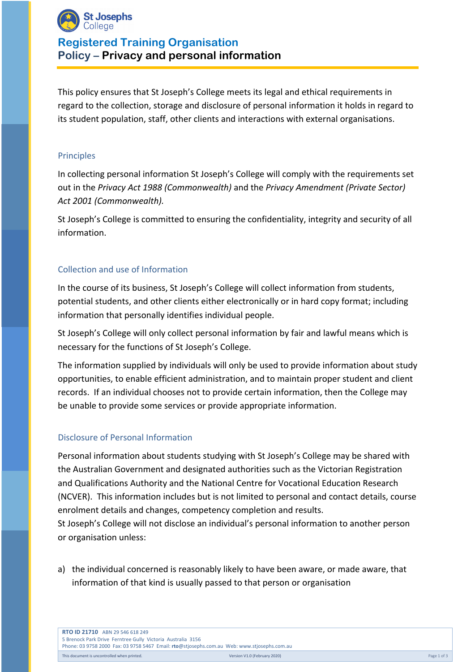

# **Registered Training Organisation Policy – Privacy and personal information**

This policy ensures that St Joseph's College meets its legal and ethical requirements in regard to the collection, storage and disclosure of personal information it holds in regard to its student population, staff, other clients and interactions with external organisations.

#### Principles

In collecting personal information St Joseph's College will comply with the requirements set out in the *Privacy Act 1988 (Commonwealth)* and the *Privacy Amendment (Private Sector) Act 2001 (Commonwealth).*

St Joseph's College is committed to ensuring the confidentiality, integrity and security of all information.

### Collection and use of Information

In the course of its business, St Joseph's College will collect information from students, potential students, and other clients either electronically or in hard copy format; including information that personally identifies individual people.

St Joseph's College will only collect personal information by fair and lawful means which is necessary for the functions of St Joseph's College.

The information supplied by individuals will only be used to provide information about study opportunities, to enable efficient administration, and to maintain proper student and client records. If an individual chooses not to provide certain information, then the College may be unable to provide some services or provide appropriate information.

### Disclosure of Personal Information

Personal information about students studying with St Joseph's College may be shared with the Australian Government and designated authorities such as the Victorian Registration and Qualifications Authority and the National Centre for Vocational Education Research (NCVER). This information includes but is not limited to personal and contact details, course enrolment details and changes, competency completion and results. St Joseph's College will not disclose an individual's personal information to another person or organisation unless:

a) the individual concerned is reasonably likely to have been aware, or made aware, that information of that kind is usually passed to that person or organisation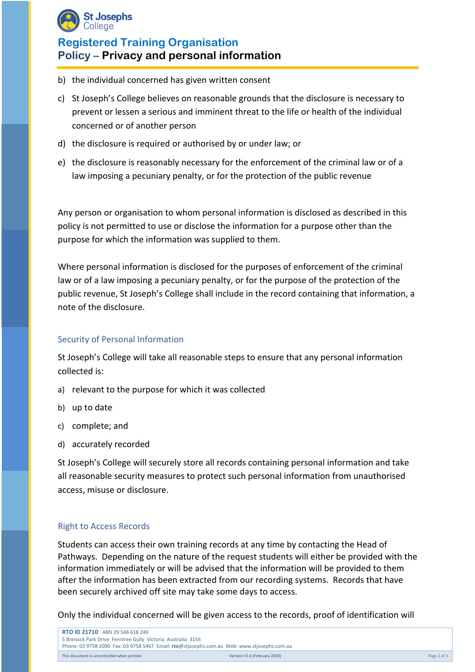

# **Registered Training Organisation Policy – Privacy and personal information**

- b) the individual concerned has given written consent
- c) St Joseph's College believes on reasonable grounds that the disclosure is necessary to prevent or lessen a serious and imminent threat to the life or health of the individual concerned or of another person
- d) the disclosure is required or authorised by or under law; or
- e) the disclosure is reasonably necessary for the enforcement of the criminal law or of a law imposing a pecuniary penalty, or for the protection of the public revenue

Any person or organisation to whom personal information is disclosed as described in this policy is not permitted to use or disclose the information for a purpose other than the purpose for which the information was supplied to them.

Where personal information is disclosed for the purposes of enforcement of the criminal law or of a law imposing a pecuniary penalty, or for the purpose of the protection of the public revenue, St Joseph's College shall include in the record containing that information, a note of the disclosure.

#### Security of Personal Information

St Joseph's College will take all reasonable steps to ensure that any personal information collected is:

- a) relevant to the purpose for which it was collected
- b) up to date
- c) complete; and
- d) accurately recorded

St Joseph's College will securely store all records containing personal information and take all reasonable security measures to protect such personal information from unauthorised access, misuse or disclosure.

### Right to Access Records

Students can access their own training records at any time by contacting the Head of Pathways. Depending on the nature of the request students will either be provided with the information immediately or will be advised that the information will be provided to them after the information has been extracted from our recording systems. Records that have been securely archived off site may take some days to access.

Only the individual concerned will be given access to the records, proof of identification will